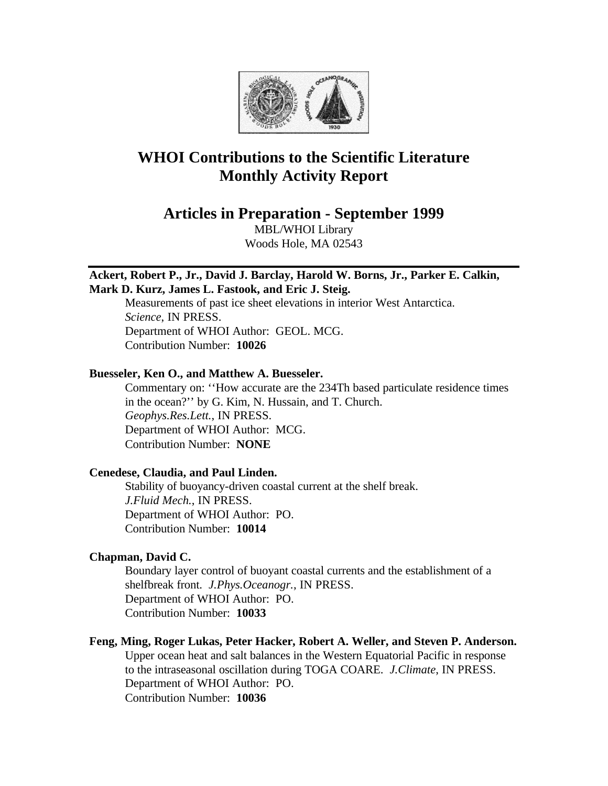

# **WHOI Contributions to the Scientific Literature Monthly Activity Report**

**Articles in Preparation - September 1999**

MBL/WHOI Library Woods Hole, MA 02543

## **Ackert, Robert P., Jr., David J. Barclay, Harold W. Borns, Jr., Parker E. Calkin, Mark D. Kurz, James L. Fastook, and Eric J. Steig.**

Measurements of past ice sheet elevations in interior West Antarctica. *Science*, IN PRESS. Department of WHOI Author: GEOL. MCG. Contribution Number: **10026**

# **Buesseler, Ken O., and Matthew A. Buesseler.**

Commentary on: ''How accurate are the 234Th based particulate residence times in the ocean?'' by G. Kim, N. Hussain, and T. Church. *Geophys.Res.Lett.*, IN PRESS. Department of WHOI Author: MCG. Contribution Number: **NONE**

## **Cenedese, Claudia, and Paul Linden.**

Stability of buoyancy-driven coastal current at the shelf break. *J.Fluid Mech.*, IN PRESS. Department of WHOI Author: PO. Contribution Number: **10014**

# **Chapman, David C.**

Boundary layer control of buoyant coastal currents and the establishment of a shelfbreak front. *J.Phys.Oceanogr.*, IN PRESS. Department of WHOI Author: PO. Contribution Number: **10033**

# **Feng, Ming, Roger Lukas, Peter Hacker, Robert A. Weller, and Steven P. Anderson.**

Upper ocean heat and salt balances in the Western Equatorial Pacific in response to the intraseasonal oscillation during TOGA COARE. *J.Climate*, IN PRESS. Department of WHOI Author: PO. Contribution Number: **10036**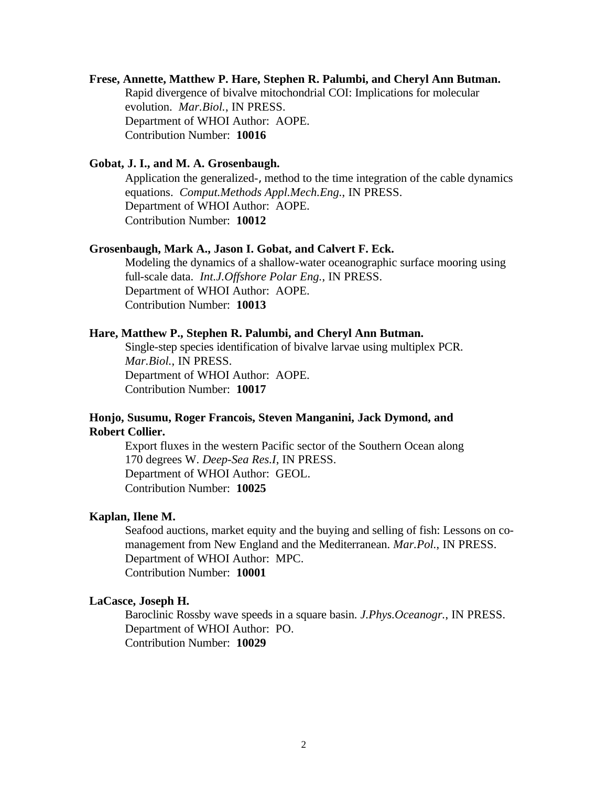#### **Frese, Annette, Matthew P. Hare, Stephen R. Palumbi, and Cheryl Ann Butman.**

Rapid divergence of bivalve mitochondrial COI: Implications for molecular evolution. *Mar.Biol.*, IN PRESS. Department of WHOI Author: AOPE. Contribution Number: **10016**

#### **Gobat, J. I., and M. A. Grosenbaugh.**

Application the generalized-, method to the time integration of the cable dynamics equations. *Comput.Methods Appl.Mech.Eng.*, IN PRESS. Department of WHOI Author: AOPE. Contribution Number: **10012**

#### **Grosenbaugh, Mark A., Jason I. Gobat, and Calvert F. Eck.**

Modeling the dynamics of a shallow-water oceanographic surface mooring using full-scale data. *Int.J.Offshore Polar Eng.*, IN PRESS. Department of WHOI Author: AOPE. Contribution Number: **10013**

#### **Hare, Matthew P., Stephen R. Palumbi, and Cheryl Ann Butman.**

Single-step species identification of bivalve larvae using multiplex PCR. *Mar.Biol.*, IN PRESS. Department of WHOI Author: AOPE. Contribution Number: **10017**

## **Honjo, Susumu, Roger Francois, Steven Manganini, Jack Dymond, and Robert Collier.**

Export fluxes in the western Pacific sector of the Southern Ocean along 170 degrees W. *Deep-Sea Res.I*, IN PRESS. Department of WHOI Author: GEOL. Contribution Number: **10025**

#### **Kaplan, Ilene M.**

Seafood auctions, market equity and the buying and selling of fish: Lessons on comanagement from New England and the Mediterranean. *Mar.Pol.*, IN PRESS. Department of WHOI Author: MPC. Contribution Number: **10001**

#### **LaCasce, Joseph H.**

Baroclinic Rossby wave speeds in a square basin. *J.Phys.Oceanogr.*, IN PRESS. Department of WHOI Author: PO. Contribution Number: **10029**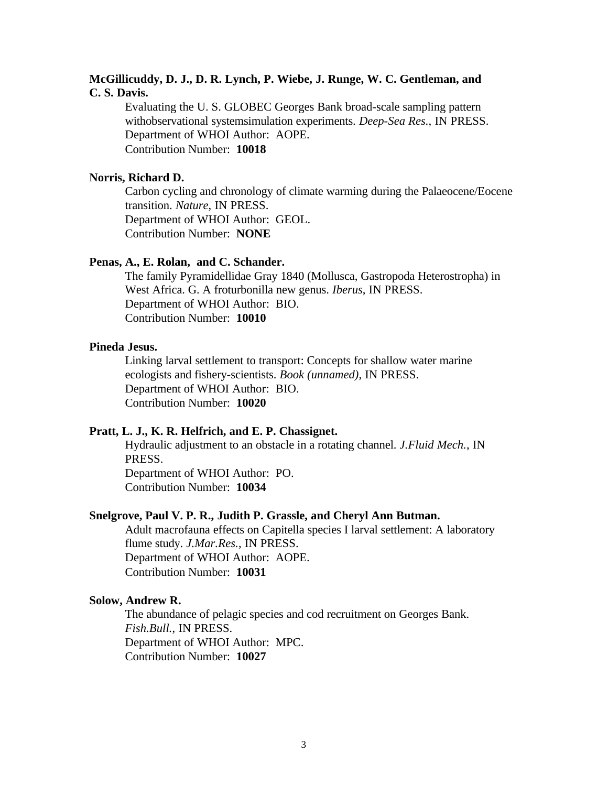## **McGillicuddy, D. J., D. R. Lynch, P. Wiebe, J. Runge, W. C. Gentleman, and C. S. Davis.**

Evaluating the U. S. GLOBEC Georges Bank broad-scale sampling pattern withobservational systemsimulation experiments. *Deep-Sea Res.*, IN PRESS. Department of WHOI Author: AOPE. Contribution Number: **10018**

## **Norris, Richard D.**

Carbon cycling and chronology of climate warming during the Palaeocene/Eocene transition. *Nature*, IN PRESS. Department of WHOI Author: GEOL. Contribution Number: **NONE**

## **Penas, A., E. Rolan, and C. Schander.**

The family Pyramidellidae Gray 1840 (Mollusca, Gastropoda Heterostropha) in West Africa. G. A froturbonilla new genus. *Iberus*, IN PRESS. Department of WHOI Author: BIO. Contribution Number: **10010**

#### **Pineda Jesus.**

Linking larval settlement to transport: Concepts for shallow water marine ecologists and fishery-scientists. *Book (unnamed)*, IN PRESS. Department of WHOI Author: BIO. Contribution Number: **10020**

### **Pratt, L. J., K. R. Helfrich, and E. P. Chassignet.**

Hydraulic adjustment to an obstacle in a rotating channel. *J.Fluid Mech.*, IN PRESS. Department of WHOI Author: PO.

Contribution Number: **10034**

#### **Snelgrove, Paul V. P. R., Judith P. Grassle, and Cheryl Ann Butman.**

Adult macrofauna effects on Capitella species I larval settlement: A laboratory flume study. *J.Mar.Res.*, IN PRESS. Department of WHOI Author: AOPE. Contribution Number: **10031**

#### **Solow, Andrew R.**

The abundance of pelagic species and cod recruitment on Georges Bank. *Fish.Bull.*, IN PRESS. Department of WHOI Author: MPC. Contribution Number: **10027**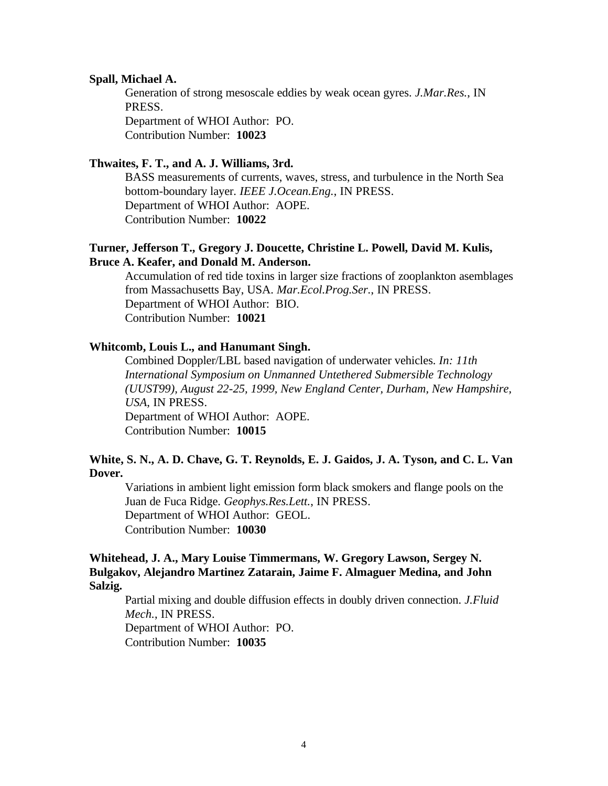#### **Spall, Michael A.**

Generation of strong mesoscale eddies by weak ocean gyres. *J.Mar.Res.*, IN PRESS. Department of WHOI Author: PO. Contribution Number: **10023**

#### **Thwaites, F. T., and A. J. Williams, 3rd.**

BASS measurements of currents, waves, stress, and turbulence in the North Sea bottom-boundary layer. *IEEE J.Ocean.Eng.*, IN PRESS. Department of WHOI Author: AOPE. Contribution Number: **10022**

## **Turner, Jefferson T., Gregory J. Doucette, Christine L. Powell, David M. Kulis, Bruce A. Keafer, and Donald M. Anderson.**

Accumulation of red tide toxins in larger size fractions of zooplankton asemblages from Massachusetts Bay, USA. *Mar.Ecol.Prog.Ser.*, IN PRESS. Department of WHOI Author: BIO. Contribution Number: **10021**

## **Whitcomb, Louis L., and Hanumant Singh.**

Combined Doppler/LBL based navigation of underwater vehicles. *In: 11th International Symposium on Unmanned Untethered Submersible Technology (UUST99), August 22-25, 1999, New England Center, Durham, New Hampshire, USA*, IN PRESS. Department of WHOI Author: AOPE. Contribution Number: **10015**

## **White, S. N., A. D. Chave, G. T. Reynolds, E. J. Gaidos, J. A. Tyson, and C. L. Van Dover.**

Variations in ambient light emission form black smokers and flange pools on the Juan de Fuca Ridge. *Geophys.Res.Lett.*, IN PRESS. Department of WHOI Author: GEOL. Contribution Number: **10030**

## **Whitehead, J. A., Mary Louise Timmermans, W. Gregory Lawson, Sergey N. Bulgakov, Alejandro Martinez Zatarain, Jaime F. Almaguer Medina, and John Salzig.**

Partial mixing and double diffusion effects in doubly driven connection. *J.Fluid Mech.*, IN PRESS. Department of WHOI Author: PO. Contribution Number: **10035**